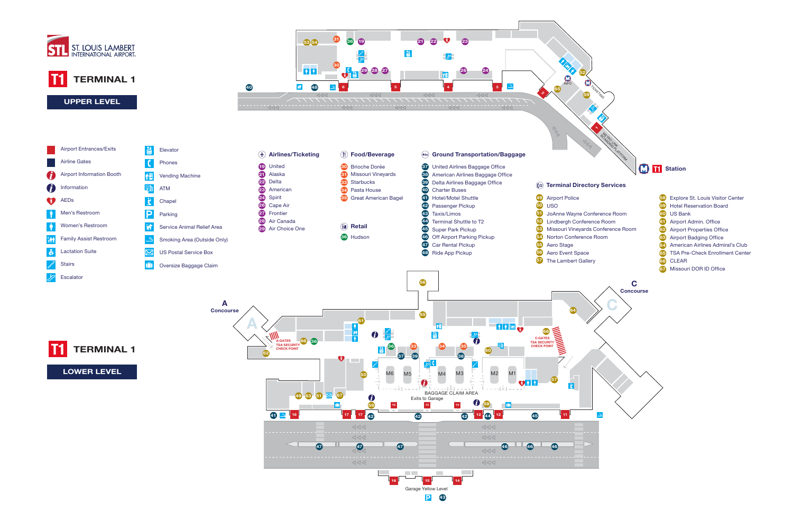

- 
- 
- 
- 
- 
- 58 Explore St. Louis Visitor Center
- 59 Hotel Reservation Board
- 60 US Bank
- **61** Airport Admin. Office
- 62 Airport Properties Office
- 63 Airport Badging Office
- 64 American Airlines Admiral's Club
- 65 TSA Pre-Check Enrollment Center
- 66 CLEAR
- 67 Missouri DOR ID Office